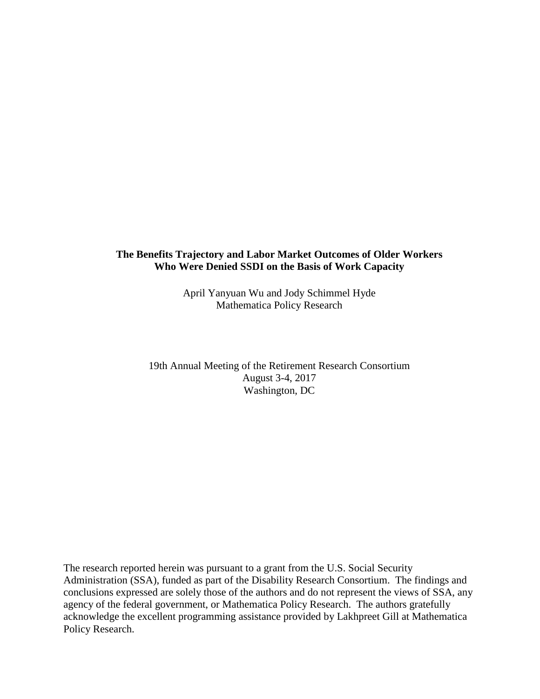## **The Benefits Trajectory and Labor Market Outcomes of Older Workers Who Were Denied SSDI on the Basis of Work Capacity**

April Yanyuan Wu and Jody Schimmel Hyde Mathematica Policy Research

19th Annual Meeting of the Retirement Research Consortium August 3-4, 2017 Washington, DC

The research reported herein was pursuant to a grant from the U.S. Social Security Administration (SSA), funded as part of the Disability Research Consortium. The findings and conclusions expressed are solely those of the authors and do not represent the views of SSA, any agency of the federal government, or Mathematica Policy Research. The authors gratefully acknowledge the excellent programming assistance provided by Lakhpreet Gill at Mathematica Policy Research.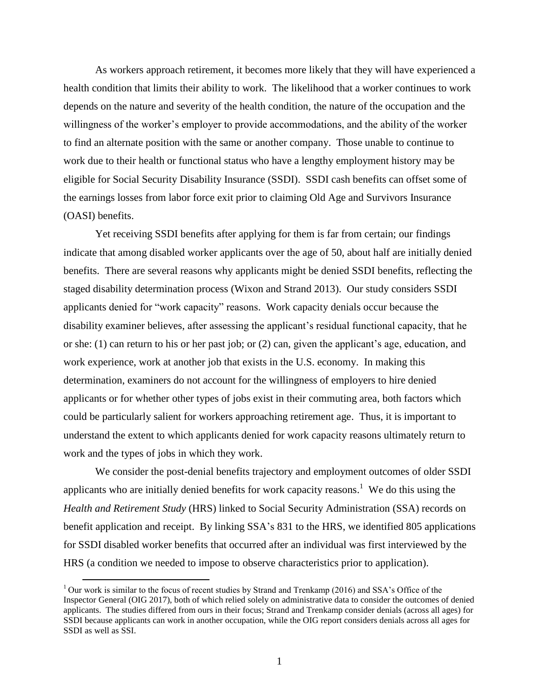As workers approach retirement, it becomes more likely that they will have experienced a health condition that limits their ability to work. The likelihood that a worker continues to work depends on the nature and severity of the health condition, the nature of the occupation and the willingness of the worker's employer to provide accommodations, and the ability of the worker to find an alternate position with the same or another company. Those unable to continue to work due to their health or functional status who have a lengthy employment history may be eligible for Social Security Disability Insurance (SSDI). SSDI cash benefits can offset some of the earnings losses from labor force exit prior to claiming Old Age and Survivors Insurance (OASI) benefits.

Yet receiving SSDI benefits after applying for them is far from certain; our findings indicate that among disabled worker applicants over the age of 50, about half are initially denied benefits. There are several reasons why applicants might be denied SSDI benefits, reflecting the staged disability determination process (Wixon and Strand 2013). Our study considers SSDI applicants denied for "work capacity" reasons. Work capacity denials occur because the disability examiner believes, after assessing the applicant's residual functional capacity, that he or she: (1) can return to his or her past job; or (2) can, given the applicant's age, education, and work experience, work at another job that exists in the U.S. economy. In making this determination, examiners do not account for the willingness of employers to hire denied applicants or for whether other types of jobs exist in their commuting area, both factors which could be particularly salient for workers approaching retirement age. Thus, it is important to understand the extent to which applicants denied for work capacity reasons ultimately return to work and the types of jobs in which they work.

We consider the post-denial benefits trajectory and employment outcomes of older SSDI applicants who are initially denied benefits for work capacity reasons.<sup>1</sup> We do this using the *Health and Retirement Study* (HRS) linked to Social Security Administration (SSA) records on benefit application and receipt. By linking SSA's 831 to the HRS, we identified 805 applications for SSDI disabled worker benefits that occurred after an individual was first interviewed by the HRS (a condition we needed to impose to observe characteristics prior to application).

 $\overline{a}$ 

 $1$  Our work is similar to the focus of recent studies by Strand and Trenkamp (2016) and SSA's Office of the Inspector General (OIG 2017), both of which relied solely on administrative data to consider the outcomes of denied applicants. The studies differed from ours in their focus; Strand and Trenkamp consider denials (across all ages) for SSDI because applicants can work in another occupation, while the OIG report considers denials across all ages for SSDI as well as SSI.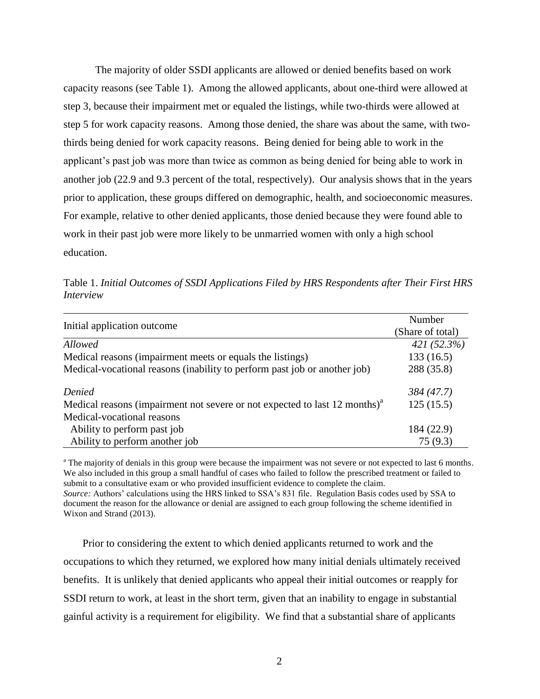The majority of older SSDI applicants are allowed or denied benefits based on work capacity reasons (see Table 1). Among the allowed applicants, about one-third were allowed at step 3, because their impairment met or equaled the listings, while two-thirds were allowed at step 5 for work capacity reasons. Among those denied, the share was about the same, with twothirds being denied for work capacity reasons. Being denied for being able to work in the applicant's past job was more than twice as common as being denied for being able to work in another job (22.9 and 9.3 percent of the total, respectively). Our analysis shows that in the years prior to application, these groups differed on demographic, health, and socioeconomic measures. For example, relative to other denied applicants, those denied because they were found able to work in their past job were more likely to be unmarried women with only a high school education.

Table 1. *Initial Outcomes of SSDI Applications Filed by HRS Respondents after Their First HRS Interview* 

| Initial application outcome                                                            | Number           |
|----------------------------------------------------------------------------------------|------------------|
|                                                                                        | (Share of total) |
| Allowed                                                                                | 421(52.3%)       |
| Medical reasons (impairment meets or equals the listings)                              | 133(16.5)        |
| Medical-vocational reasons (inability to perform past job or another job)              | 288 (35.8)       |
| Denied                                                                                 | 384 (47.7)       |
| Medical reasons (impairment not severe or not expected to last 12 months) <sup>a</sup> | 125(15.5)        |
| Medical-vocational reasons                                                             |                  |
| Ability to perform past job                                                            | 184 (22.9)       |
| Ability to perform another job                                                         | 75 (9.3)         |

<sup>a</sup> The majority of denials in this group were because the impairment was not severe or not expected to last 6 months. We also included in this group a small handful of cases who failed to follow the prescribed treatment or failed to submit to a consultative exam or who provided insufficient evidence to complete the claim. *Source:* Authors' calculations using the HRS linked to SSA's 831 file. Regulation Basis codes used by SSA to document the reason for the allowance or denial are assigned to each group following the scheme identified in Wixon and Strand (2013).

Prior to considering the extent to which denied applicants returned to work and the occupations to which they returned, we explored how many initial denials ultimately received benefits. It is unlikely that denied applicants who appeal their initial outcomes or reapply for SSDI return to work, at least in the short term, given that an inability to engage in substantial gainful activity is a requirement for eligibility. We find that a substantial share of applicants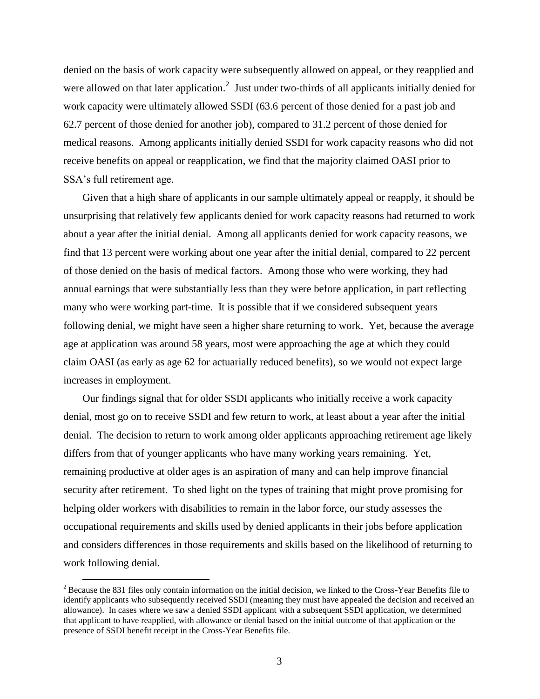denied on the basis of work capacity were subsequently allowed on appeal, or they reapplied and were allowed on that later application.<sup>2</sup> Just under two-thirds of all applicants initially denied for work capacity were ultimately allowed SSDI (63.6 percent of those denied for a past job and 62.7 percent of those denied for another job), compared to 31.2 percent of those denied for medical reasons. Among applicants initially denied SSDI for work capacity reasons who did not receive benefits on appeal or reapplication, we find that the majority claimed OASI prior to SSA's full retirement age.

Given that a high share of applicants in our sample ultimately appeal or reapply, it should be unsurprising that relatively few applicants denied for work capacity reasons had returned to work about a year after the initial denial. Among all applicants denied for work capacity reasons, we find that 13 percent were working about one year after the initial denial, compared to 22 percent of those denied on the basis of medical factors. Among those who were working, they had annual earnings that were substantially less than they were before application, in part reflecting many who were working part-time. It is possible that if we considered subsequent years following denial, we might have seen a higher share returning to work. Yet, because the average age at application was around 58 years, most were approaching the age at which they could claim OASI (as early as age 62 for actuarially reduced benefits), so we would not expect large increases in employment.

Our findings signal that for older SSDI applicants who initially receive a work capacity denial, most go on to receive SSDI and few return to work, at least about a year after the initial denial. The decision to return to work among older applicants approaching retirement age likely differs from that of younger applicants who have many working years remaining. Yet, remaining productive at older ages is an aspiration of many and can help improve financial security after retirement. To shed light on the types of training that might prove promising for helping older workers with disabilities to remain in the labor force, our study assesses the occupational requirements and skills used by denied applicants in their jobs before application and considers differences in those requirements and skills based on the likelihood of returning to work following denial.

 $\overline{a}$ 

 $2$  Because the 831 files only contain information on the initial decision, we linked to the Cross-Year Benefits file to identify applicants who subsequently received SSDI (meaning they must have appealed the decision and received an allowance). In cases where we saw a denied SSDI applicant with a subsequent SSDI application, we determined that applicant to have reapplied, with allowance or denial based on the initial outcome of that application or the presence of SSDI benefit receipt in the Cross-Year Benefits file.